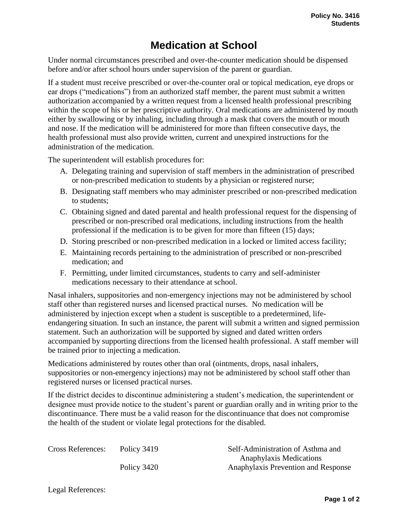## **Medication at School**

Under normal circumstances prescribed and over-the-counter medication should be dispensed before and/or after school hours under supervision of the parent or guardian.

If a student must receive prescribed or over-the-counter oral or topical medication, eye drops or ear drops ("medications") from an authorized staff member, the parent must submit a written authorization accompanied by a written request from a licensed health professional prescribing within the scope of his or her prescriptive authority. Oral medications are administered by mouth either by swallowing or by inhaling, including through a mask that covers the mouth or mouth and nose. If the medication will be administered for more than fifteen consecutive days, the health professional must also provide written, current and unexpired instructions for the administration of the medication.

The superintendent will establish procedures for:

- A. Delegating training and supervision of staff members in the administration of prescribed or non-prescribed medication to students by a physician or registered nurse;
- B. Designating staff members who may administer prescribed or non-prescribed medication to students;
- C. Obtaining signed and dated parental and health professional request for the dispensing of prescribed or non-prescribed oral medications, including instructions from the health professional if the medication is to be given for more than fifteen (15) days;
- D. Storing prescribed or non-prescribed medication in a locked or limited access facility;
- E. Maintaining records pertaining to the administration of prescribed or non-prescribed medication; and
- F. Permitting, under limited circumstances, students to carry and self-administer medications necessary to their attendance at school.

Nasal inhalers, suppositories and non-emergency injections may not be administered by school staff other than registered nurses and licensed practical nurses. No medication will be administered by injection except when a student is susceptible to a predetermined, lifeendangering situation. In such an instance, the parent will submit a written and signed permission statement. Such an authorization will be supported by signed and dated written orders accompanied by supporting directions from the licensed health professional. A staff member will be trained prior to injecting a medication.

Medications administered by routes other than oral (ointments, drops, nasal inhalers, suppositories or non-emergency injections) may not be administered by school staff other than registered nurses or licensed practical nurses.

If the district decides to discontinue administering a student's medication, the superintendent or designee must provide notice to the student's parent or guardian orally and in writing prior to the discontinuance. There must be a valid reason for the discontinuance that does not compromise the health of the student or violate legal protections for the disabled.

| <b>Cross References:</b> | Policy 3419 | Self-Administration of Asthma and   |
|--------------------------|-------------|-------------------------------------|
|                          |             | Anaphylaxis Medications             |
|                          | Policy 3420 | Anaphylaxis Prevention and Response |

Legal References: